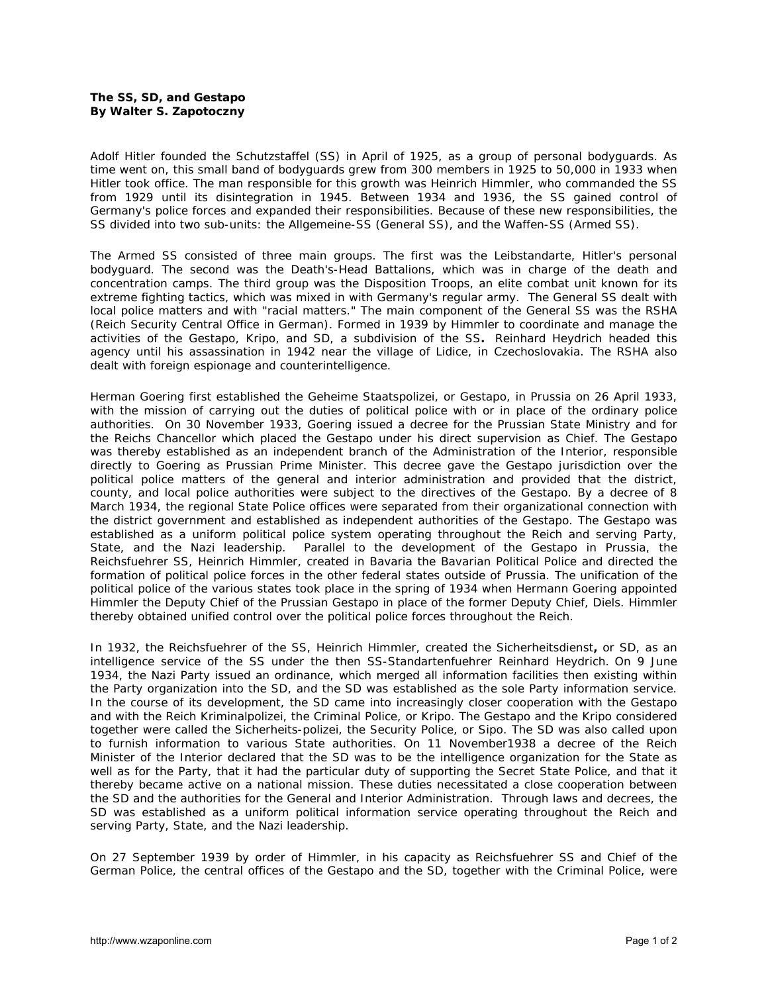## **The SS, SD, and Gestapo By Walter S. Zapotoczny**

Adolf Hitler founded the *Schutzstaffel* (SS) in April of 1925, as a group of personal bodyguards. As time went on, this small band of bodyguards grew from 300 members in 1925 to 50,000 in 1933 when Hitler took office. The man responsible for this growth was Heinrich Himmler, who commanded the SS from 1929 until its disintegration in 1945. Between 1934 and 1936, the SS gained control of Germany's police forces and expanded their responsibilities. Because of these new responsibilities, the SS divided into two sub-units: the Allgemeine-SS (General SS), and the Waffen-SS (Armed SS).

The Armed SS consisted of three main groups. The first was the Leibstandarte, Hitler's personal bodyguard. The second was the Death's-Head Battalions, which was in charge of the death and concentration camps. The third group was the Disposition Troops, an elite combat unit known for its extreme fighting tactics, which was mixed in with Germany's regular army. The General SS dealt with local police matters and with "racial matters." The main component of the General SS was the RSHA (Reich Security Central Office in German). Formed in 1939 by Himmler to coordinate and manage the activities of the Gestapo, Kripo, and SD, a subdivision of the [SS](http://www.ess.uwe.ac.uk/genocide/#Schutzstaffel)**.** Reinhard Heydrich headed this agency until his assassination in 1942 near the village of Lidice, in Czechoslovakia. The RSHA also dealt with foreign espionage and counterintelligence.

Herman Goering first established the *Geheime Staatspolizei*, or Gestapo, in Prussia on 26 April 1933, with the mission of carrying out the duties of political police with or in place of the ordinary police authorities. On 30 November 1933, Goering issued a decree for the Prussian State Ministry and for the Reichs Chancellor which placed the Gestapo under his direct supervision as Chief. The Gestapo was thereby established as an independent branch of the Administration of the Interior, responsible directly to Goering as Prussian Prime Minister. This decree gave the Gestapo jurisdiction over the political police matters of the general and interior administration and provided that the district, county, and local police authorities were subject to the directives of the Gestapo. By a decree of 8 March 1934, the regional State Police offices were separated from their organizational connection with the district government and established as independent authorities of the Gestapo. The Gestapo was established as a uniform political police system operating throughout the Reich and serving Party, State, and the Nazi leadership. Parallel to the development of the Gestapo in Prussia, the Reichsfuehrer SS, Heinrich Himmler, created in Bavaria the Bavarian Political Police and directed the formation of political police forces in the other federal states outside of Prussia. The unification of the political police of the various states took place in the spring of 1934 when Hermann Goering appointed Himmler the Deputy Chief of the Prussian Gestapo in place of the former Deputy Chief, Diels. Himmler thereby obtained unified control over the political police forces throughout the Reich.

In 1932, the Reichsfuehrer of the SS, Heinrich Himmler, created the *Sicherheitsdienst,* or SD, as an intelligence service of the SS under the then SS-Standartenfuehrer Reinhard Heydrich. On 9 June 1934, the Nazi Party issued an ordinance, which merged all information facilities then existing within the Party organization into the SD, and the SD was established as the sole Party information service. In the course of its development, the SD came into increasingly closer cooperation with the Gestapo and with the *Reich Kriminalpolizei,* the Criminal Police, or Kripo. The Gestapo and the Kripo considered together were called the *Sicherheits-polizei,* the Security Police, or Sipo. The SD was also called upon to furnish information to various State authorities. On 11 November1938 a decree of the Reich Minister of the Interior declared that the SD was to be the intelligence organization for the State as well as for the Party, that it had the particular duty of supporting the Secret State Police, and that it thereby became active on a national mission. These duties necessitated a close cooperation between the SD and the authorities for the General and Interior Administration. Through laws and decrees, the SD was established as a uniform political information service operating throughout the Reich and serving Party, State, and the Nazi leadership.

On 27 September 1939 by order of Himmler, in his capacity as Reichsfuehrer SS and Chief of the German Police, the central offices of the Gestapo and the SD, together with the Criminal Police, were